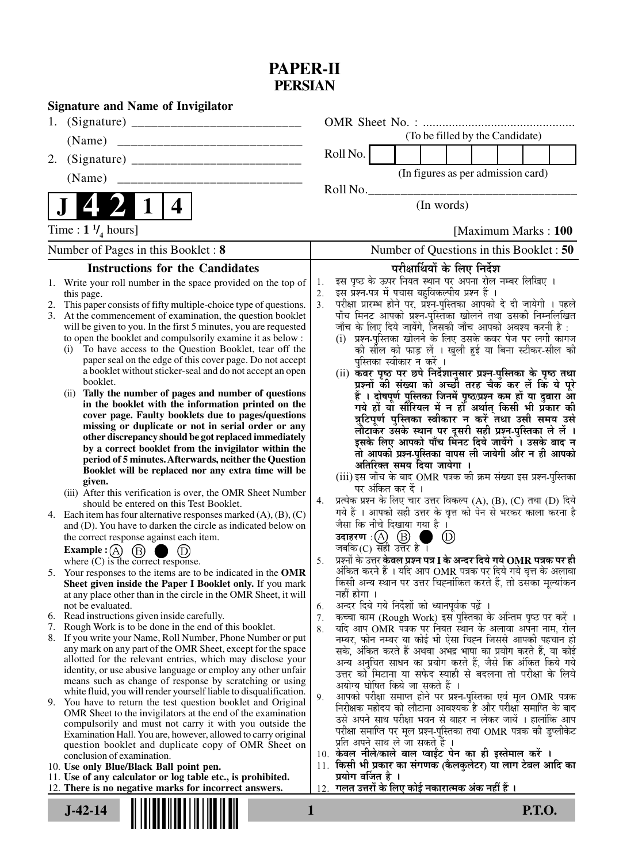## **PAPER-II PERSIAN**

|                                                                                                                                   | <b>Signature and Name of Invigilator</b>                                                                                     |          |                                                     |                       |                                                                                                                                 |                                 |  |  |  |  |
|-----------------------------------------------------------------------------------------------------------------------------------|------------------------------------------------------------------------------------------------------------------------------|----------|-----------------------------------------------------|-----------------------|---------------------------------------------------------------------------------------------------------------------------------|---------------------------------|--|--|--|--|
| 1.                                                                                                                                |                                                                                                                              |          |                                                     |                       |                                                                                                                                 |                                 |  |  |  |  |
| (Name)                                                                                                                            |                                                                                                                              |          |                                                     |                       |                                                                                                                                 | (To be filled by the Candidate) |  |  |  |  |
| 2.                                                                                                                                |                                                                                                                              |          | Roll No.                                            |                       |                                                                                                                                 |                                 |  |  |  |  |
| (Name)                                                                                                                            |                                                                                                                              |          |                                                     |                       | (In figures as per admission card)                                                                                              |                                 |  |  |  |  |
|                                                                                                                                   |                                                                                                                              |          | Roll No.                                            |                       |                                                                                                                                 |                                 |  |  |  |  |
| 4                                                                                                                                 |                                                                                                                              |          | (In words)                                          |                       |                                                                                                                                 |                                 |  |  |  |  |
| Time : $1 \frac{1}{4}$ hours]                                                                                                     |                                                                                                                              |          | [Maximum Marks: 100]                                |                       |                                                                                                                                 |                                 |  |  |  |  |
| Number of Pages in this Booklet: 8                                                                                                |                                                                                                                              |          | Number of Questions in this Booklet: 50             |                       |                                                                                                                                 |                                 |  |  |  |  |
|                                                                                                                                   | <b>Instructions for the Candidates</b>                                                                                       |          |                                                     |                       | परीक्षार्थियों के लिए निर्देश                                                                                                   |                                 |  |  |  |  |
|                                                                                                                                   | 1. Write your roll number in the space provided on the top of                                                                | 1.       |                                                     |                       | इस पृष्ठ के ऊपर नियत स्थान पर अपना रोल नम्बर लिखिए ।                                                                            |                                 |  |  |  |  |
| this page.                                                                                                                        |                                                                                                                              | 2.<br>3. |                                                     |                       | इस प्रश्न-पत्र में पचास बहुविकल्पीय प्रश्न हैं ।                                                                                |                                 |  |  |  |  |
| This paper consists of fifty multiple-choice type of questions.                                                                   |                                                                                                                              |          |                                                     |                       | परीक्षा प्रारम्भ होने पर, प्रश्न-पुस्तिका आपको दे दी जायेगी । पहले                                                              |                                 |  |  |  |  |
| At the commencement of examination, the question booklet<br>3.<br>will be given to you. In the first 5 minutes, you are requested |                                                                                                                              |          |                                                     |                       | पाँच मिनट आपको प्रश्न-पुस्तिका खोलने तथा उसकी निम्नलिखित<br>जाँच के लिए दिये जायेंगे, जिसकी जाँच आपको अवश्य करनी है :           |                                 |  |  |  |  |
| to open the booklet and compulsorily examine it as below :                                                                        |                                                                                                                              |          |                                                     |                       | (i) प्रश्न-पुस्तिका खोलने के लिए उसके कवर पेज पर लगी कागज                                                                       |                                 |  |  |  |  |
| To have access to the Question Booklet, tear off the<br>(i)                                                                       |                                                                                                                              |          |                                                     |                       | की सील को फाड़ लें । खुली हुई या बिना स्टीकर-सील की                                                                             |                                 |  |  |  |  |
| paper seal on the edge of this cover page. Do not accept                                                                          |                                                                                                                              |          |                                                     |                       | पुस्तिका स्वीकार न करें ।                                                                                                       |                                 |  |  |  |  |
| a booklet without sticker-seal and do not accept an open                                                                          |                                                                                                                              |          |                                                     |                       | (ii) कवर पृष्ठ पर छपे निर्देशानुसार प्रश्न-पुस्तिका के पृष्ठ तथा                                                                |                                 |  |  |  |  |
| booklet.<br>Tally the number of pages and number of questions<br>(ii)                                                             |                                                                                                                              |          |                                                     |                       | प्रश्नों की संख्या को अच्छी तरह चैक कर लें कि ये पूरे                                                                           |                                 |  |  |  |  |
| in the booklet with the information printed on the                                                                                |                                                                                                                              |          |                                                     |                       | हैं । दोषपूर्ण पुस्तिका जिनमें पृष्ठ/प्रश्न कम हों या दुबारा आ<br>गये हों या सौरियल में न हों अर्थात् किसी भी प्रॅकार की        |                                 |  |  |  |  |
|                                                                                                                                   | cover page. Faulty booklets due to pages/questions                                                                           |          |                                                     |                       | त्रुटिपूर्ण पुस्तिका स्वीकार न करें तथा उसी समय उसे                                                                             |                                 |  |  |  |  |
| missing or duplicate or not in serial order or any                                                                                |                                                                                                                              |          |                                                     |                       | लौटाकर उसके स्थान पर दूसरी सही प्रश्न-पुस्तिका ले लें ।                                                                         |                                 |  |  |  |  |
| other discrepancy should be got replaced immediately<br>by a correct booklet from the invigilator within the                      |                                                                                                                              |          |                                                     |                       | इसके लिए आपको पाँच मिंनट दिये जायेंगे ँ। उसके बाद न                                                                             |                                 |  |  |  |  |
| period of 5 minutes. Afterwards, neither the Question                                                                             |                                                                                                                              |          |                                                     |                       | तो आपकी प्रश्न-पुस्तिका वापस ली जायेगी और न ही आपको                                                                             |                                 |  |  |  |  |
|                                                                                                                                   | Booklet will be replaced nor any extra time will be                                                                          |          |                                                     |                       | अतिरिक्त समय दिया जायेगा ।                                                                                                      |                                 |  |  |  |  |
| given.                                                                                                                            |                                                                                                                              |          |                                                     | पर अंकित कर दें ।     | (iii) इस जाँच के बाद OMR पत्रक की क्रम संख्या इस प्रश्न-पुस्तिका                                                                |                                 |  |  |  |  |
|                                                                                                                                   | (iii) After this verification is over, the OMR Sheet Number                                                                  | 4.       |                                                     |                       | प्रत्येक प्रश्न के लिए चार उत्तर विकल्प (A), (B), (C) तथा (D) दिये                                                              |                                 |  |  |  |  |
|                                                                                                                                   | should be entered on this Test Booklet.<br>4. Each item has four alternative responses marked $(A)$ , $(B)$ , $(C)$          |          |                                                     |                       | गये हैं । आपको सही उत्तर के वृत्त को पेन से भरकर काला करना है                                                                   |                                 |  |  |  |  |
|                                                                                                                                   | and (D). You have to darken the circle as indicated below on                                                                 |          |                                                     |                       | जैसा कि नीचे दिखाया गया है ।                                                                                                    |                                 |  |  |  |  |
| the correct response against each item.                                                                                           |                                                                                                                              |          |                                                     | उदाहरण: $(A)$ $(B)$   |                                                                                                                                 | $_{\rm (D)}$                    |  |  |  |  |
| Example : $(A)$<br>(B)                                                                                                            |                                                                                                                              |          |                                                     | जबकि(C) सही उत्तर है। |                                                                                                                                 |                                 |  |  |  |  |
| where $(C)$ is the correct response.                                                                                              |                                                                                                                              | 5.       |                                                     |                       | प्रश्नों के उत्तर <b>केवल प्रश्न पत्र I के अन्दर दिये गये OMR पत्रक पर ही</b>                                                   |                                 |  |  |  |  |
|                                                                                                                                   | 5. Your responses to the items are to be indicated in the OMR<br>Sheet given inside the Paper I Booklet only. If you mark    |          |                                                     |                       | अंकित करने हैं । यदि आप OMR पत्रक पर दिये गये वृत्त के अलावा<br>किसी अन्य स्थान पर उत्तर चिह्नांकित करते हैं, तो उसका मूल्यांकन |                                 |  |  |  |  |
|                                                                                                                                   | at any place other than in the circle in the OMR Sheet, it will                                                              |          | नहीं होगा ।                                         |                       |                                                                                                                                 |                                 |  |  |  |  |
| not be evaluated.                                                                                                                 |                                                                                                                              | 6.       |                                                     |                       | अन्दर दिये गये निर्देशों को ध्यानपूर्वकू पढ़ें ।                                                                                |                                 |  |  |  |  |
|                                                                                                                                   | 6. Read instructions given inside carefully.                                                                                 | 7.       |                                                     |                       | कच्चा काम (Rough Work) इस पुस्तिका के अन्तिम पृष्ठ पर करें ।                                                                    |                                 |  |  |  |  |
| 7.                                                                                                                                | Rough Work is to be done in the end of this booklet.                                                                         | 8.       |                                                     |                       | यदि आप OMR पत्रक पर नियत स्थान के अलावा अपना नाम, रोल                                                                           |                                 |  |  |  |  |
|                                                                                                                                   | 8. If you write your Name, Roll Number, Phone Number or put<br>any mark on any part of the OMR Sheet, except for the space   |          |                                                     |                       | नम्बर, फोन नम्बर या कोई भी ऐसा चिह्न जिससे आपकी पहचान हो<br>सके, अंकित करते हैं अथवा अभद्र भाषा का प्रयोग करते हैं, या कोई      |                                 |  |  |  |  |
|                                                                                                                                   | allotted for the relevant entries, which may disclose your                                                                   |          |                                                     |                       | अन्य अनुचित साधन का प्रयोग करते हैं, जैसे कि अंकित किये गये                                                                     |                                 |  |  |  |  |
|                                                                                                                                   | identity, or use abusive language or employ any other unfair                                                                 |          |                                                     |                       | उत्तर को मिटाना या सफेद स्याही से बदलना तो परीक्षा के लिये                                                                      |                                 |  |  |  |  |
|                                                                                                                                   | means such as change of response by scratching or using<br>white fluid, you will render yourself liable to disqualification. |          |                                                     |                       | अयोग्य घोषित किये जा सकते हैं ।                                                                                                 |                                 |  |  |  |  |
| 9.                                                                                                                                | You have to return the test question booklet and Original                                                                    | 9.       |                                                     |                       | आपको परीक्षा समाप्त होने पर प्रश्न-पुस्तिका एवं मूल OMR पत्रक                                                                   |                                 |  |  |  |  |
|                                                                                                                                   | OMR Sheet to the invigilators at the end of the examination                                                                  |          |                                                     |                       | निरीक्षक महोदय को लौटाना आवश्यक है और परीक्षा समाप्ति के बाद<br>उसे अपने साथ परीक्षा भवन से बाहर न लेकर जायें । हालांकि आप      |                                 |  |  |  |  |
|                                                                                                                                   | compulsorily and must not carry it with you outside the                                                                      |          |                                                     |                       | परीक्षा समाप्ति पर मूल प्रश्न-पुस्तिका तथा OMR पत्रक की डुप्लीकेट                                                               |                                 |  |  |  |  |
|                                                                                                                                   | Examination Hall. You are, however, allowed to carry original<br>question booklet and duplicate copy of OMR Sheet on         |          |                                                     |                       | प्रति अपने साथ ले जा सकते हैं ।                                                                                                 |                                 |  |  |  |  |
|                                                                                                                                   | conclusion of examination.                                                                                                   |          |                                                     |                       | 10. केवल नीले/काले बाल प्वाईट पेन का ही इस्तेमाल करें ।                                                                         |                                 |  |  |  |  |
|                                                                                                                                   | 10. Use only Blue/Black Ball point pen.                                                                                      |          |                                                     |                       | 11. किसी भी प्रकार का संगणक (कैलकुलेटर) या लाग टेबल आदि का                                                                      |                                 |  |  |  |  |
| 11. Use of any calculator or log table etc., is prohibited.                                                                       |                                                                                                                              |          |                                                     | प्रयोग वर्जित है ।    |                                                                                                                                 |                                 |  |  |  |  |
|                                                                                                                                   | 12. There is no negative marks for incorrect answers.                                                                        |          | 12. गलत उत्तरों के लिए कोई नकारात्मक अंक नहीं हैं । |                       |                                                                                                                                 |                                 |  |  |  |  |
| <b>P.T.O.</b><br>$J-42-14$<br>1                                                                                                   |                                                                                                                              |          |                                                     |                       |                                                                                                                                 |                                 |  |  |  |  |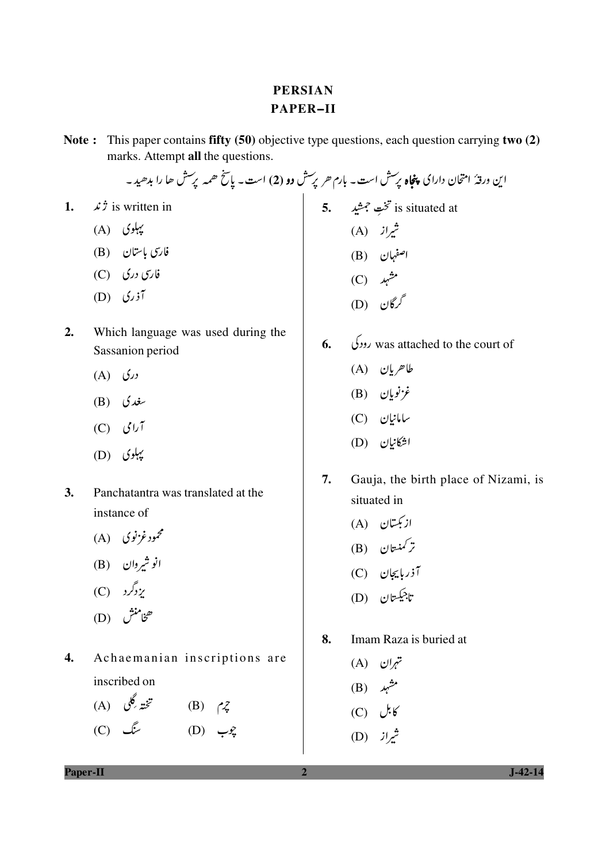## **PERSIAN PAPER-II**

Note: This paper contains fifty (50) objective type questions, each question carrying two (2) marks. Attempt all the questions.

 $\vec{r}$  is written in 1.

- $(A)$  کیہلوی
- فارسی باستان (B)
- $(C)$  فارسی دری
- $(D)$   $(i, j)$
- $2.$ Which language was used during the Sassanion period
	- $(A)$   $($
	- (B)  $\mathcal{L}$
	- $(C)$   $\mathcal{J}\cup\mathcal{J}$
	- $(D)$  بیلوی
- $\overline{3}$ . Panchatantra was translated at the instance of
	- محمود غزنوی (A)
	- انو شیروان (B)
	- $(C)$   $\sqrt{2}$
	- ھخامنش (D)
- $\overline{4}$ . Achaemanian inscriptions are inscribed on
	- تخته گلی (A)  $(B)$   $\sim$ یوب (D) سنگ (C)

این ورقهٔ امتحان دارای **پنجاه** پرسش است۔ بارم حر پرسش **دو (2**) است۔ پاسخ حم<sub>ع</sub>ہ پرسش حا را بدھید۔ 5. تختِ جمشید<br>شیراز (A)<br>شیران (B)<br>اصفہان (B)<br>مشہد<br>(C) گرگان (D)

- 
- 6.  $\sqrt{2}$  was attached to the court of
	- $(A)$  طاھريان
	- $(B)$  نَرْنُويان
	- ىيامانيان (C)
	- اشكانيان (D)
- $7.$ Gauja, the birth place of Nizami, is situated in
	- ازبکستان (A)
	- .<br>تر کمنستان (B)
	- آذربایجان (C)
	- تاجيڪستان (D)
- 8. Imam Raza is buried at
	- $(A)$  تہران
	- $(B)$  شہر
	- $(C)$  یل
	- شمراز (D)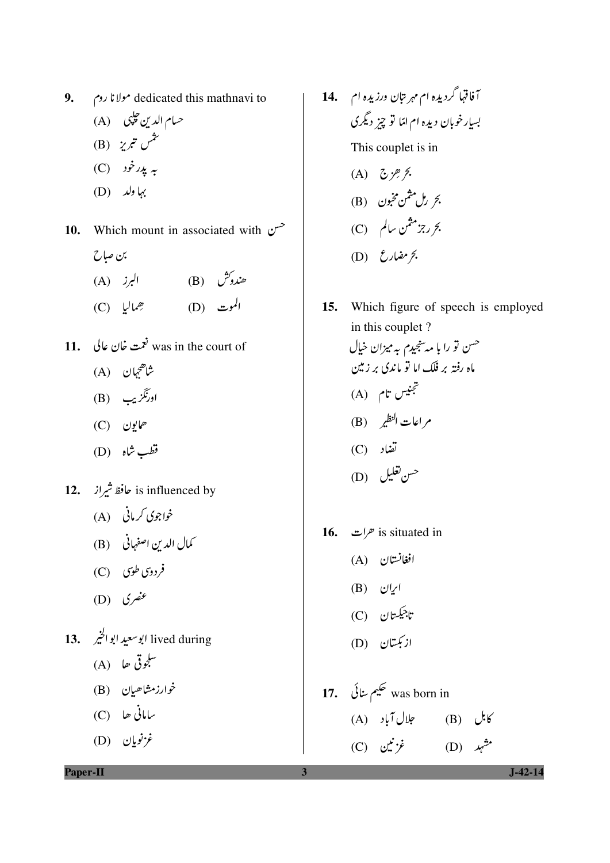9. dedicated this mathnavi to

حسام الدين حلي (A) (B) تثمن تبريز  $(C)$  پدید خود  $(D)$  کیا ولد

10. Which mount in associated with  $\sim$ بن صاح

- هندوش (B) البرز (A)
- الموت (D) حِماليا (C)
- 11. نعمت خان عالی I1. was in the court of شاھج<sub>ي</sub>ان (A)
	- اورنگزیب (B)
	- ھايون (C)
	- قطب شاہ (D)
- 12. is influenced by خافظ شیراز
	- خواجوی کرمانی (A)
	- (B) الدين اصفهاني (B)
	- فردوسی طوی (C)
	- $(D)$  كنصري
- $(A)$  للجوقي ھا $\mathcal{A}$ 
	- خوارزمشاھيان (B)
	- بیامانی جا (C)
	- $(D)$  غزنویان
- آفاقها گردیده ام مهر تبان ورزیده ام F14. بسیار خوبان دیده ام امّا تو چیز دیگری This couplet is in (A)  $\zeta$  :  $\frac{1}{2}$  %. بحري<sup>ل مثمن مخ</sup>بون (B)
	- بحررجزمثمن سالم (C)
	- $(D)$  (D)
- 15. Which figure of speech is employed in this couplet? <sup>حس</sup>ن تو را با مەسنجىدم بەمىزان خ<u>يا</u>ل ماه رفته بر فلک اما تو ماندی بر زمین تجنيس تام (A) م اعات النظير (B) تضاد (C) حس**ن تغ**ليل (D)
- 16. *(* $\sigma$ */ات* is situated in
	- افغانستان (A)
	- $(B)$  ابران
	- تاجيڪستان (C)
	- ازبکتان (D)
- (A) المال آباد (B) کابل  $\mathcal{C}$ (C)  $\dot{\mathbf{y}}^{\star}$ ، خُزنین (D) مشہد

**Paper-II** 

 $J-42-14$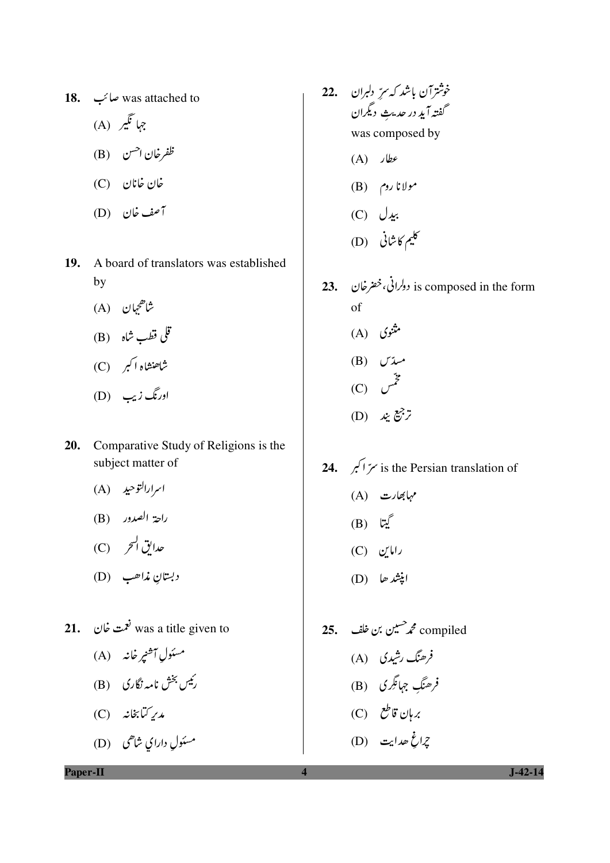- 18. was attached to جما نگیر (A) ظفرخان ا<sup>حسن</sup> (B) غان غانان (C) آصف خان (D)
- 19. A board of translators was established by
	- شاھح<sub>ی</sub>ان (A)
	- قلي قطب شاه (B)
	- شاهنشاه اکبر (C)
	- اورنگ زیب (D)
- Comparative Study of Religions is the 20. subject matter of
	- اسرارالتوحيد (A)
	- راحة الصدور (B)
	-
	- دبستان م*ذ*اھب (D)
- 21.  $\frac{1}{2}$ was a title given to
	- مسئول آ<sup>ه</sup>نپر خانه (A)
	- رئیس بخش نامہ نگاری (B)
	- مدىر كىّابخانە (C)
	- مسئول دارای شاهی (D)
- خوشترآن باشد كه سرِّ دلبران 22. گفته آید در حدیث دیگران was composed by
	- $(A)$   $\partial$
	- $(B)$   $\sim$ ولانا روم
	- $(C)$   $\bigcup_{\mathbf{x}}$
	- کلیم کاشانی (D)
- is composed in the form دولرانی، خضرخان . 23. of مثنوی (A)
	- (B) مسدّ  $(C)$   $\mathcal{L}^{\mathcal{Z}}$
	- (D)  $\mathcal{L}^2$
- **24.** is the Persian translation of (A) سیابھارت (B) ليبتا  $(C)$  راماین اپنشد حا (D)
- فرھنگ رشیدی (A) فرھنگِ جہائگری (B) 2اغ ھدايت (D)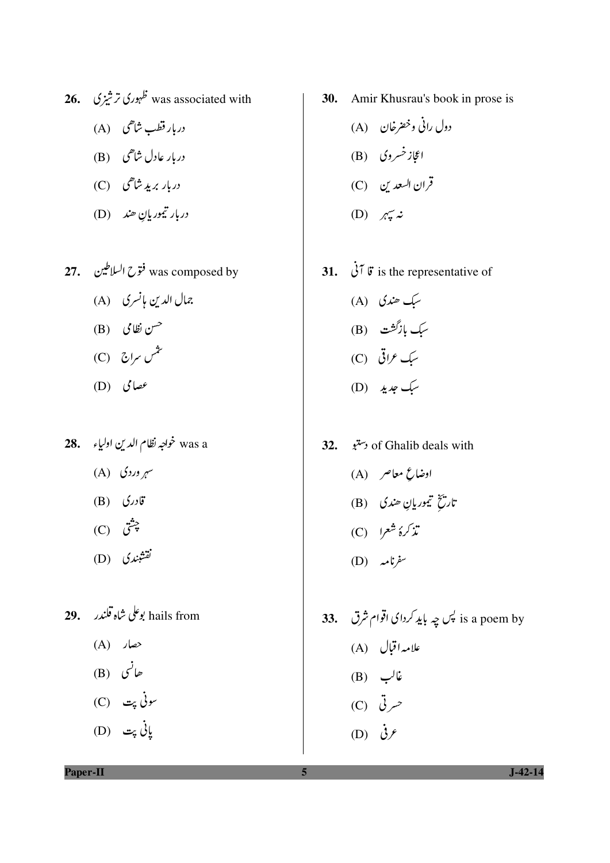- 26. خہوری ترشیزی کا 26.
	- دربار قطب شاهی (A)
	- دربار عادل شاھی (B)
	- دربار برید شاهی (C)
	- دربار تيموريان ھند (D)
- 27. فتوح السلاطين 27. فتوح السلاطين جمال الدين مانسري (A)
	- حسن نظامی (B)
	- یٹمیں سراج (C)
	- (D)  $\omega$
- - سی<sub>ر</sub> وردی (A)
	- قادری (B)
	- $(C)$  چشق
	- .<br>نقشندی (D)
- hails from بوعلى شاه قلندر 29.
	- $(A)$  حصار
	- ھانسی (B)
	- سونې پټ (C)
	- ياني *پت* (D)
- 30. Amir Khusrau's book in prose is
	- دول رانی وخصرخان (A) اعجاز خسروی (B) قران السعد ين (C) (D)  $\pi z$
- 31.  $\dot{\mathcal{J}}$   $\ddot{\mathcal{J}}$  is the representative of سبک ھندی (A) سبک بازگشت (B)
	- سبک عراقی (C)
	- سبک جدید (D)
- 32. وستو of Ghalib deals with
	- ادضاع معاصر (A) تاريخ تيموريانِ ھندي (B)
	-
	- $(D)$  سفرنامهر
- is a poem by ہیں چہ باید کردای اقوام شرق . .33 علامہ اقبال (A)  $(B)$  نالب  $(C)$  تسر تی (D)  $\dot{\mathcal{G}}$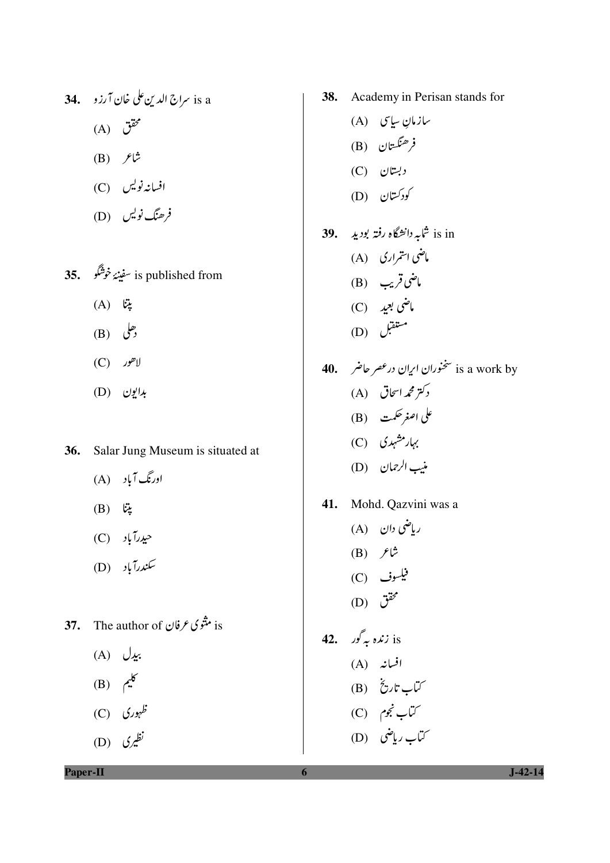$(A)$  گقق  $(B)$  ثاع افسانەنویس (C) فرھنگ نویس (D)

is published from سفينۂ خوشگو . 35.  $(A)$  يتا  $(B)$   $\mathcal{C}$ 

- $(C)$  لاهور
- بدايون (D)
- Salar Jung Museum is situated at 36.
	- اورنگ آباد (A)
	- $(B)$   $\ddot{\omega}$
	- حيدرآباد (C)
	- سکندرآباد (D)
- is مثتوى عرفان 37. The author of
	- (A)  $\bigcup$   $\mathcal{L}$
	- (B)  $\pi^6$
	- (C) نظہوری
	- نظیری (D)
- 38. Academy in Perisan stands for
- ىبازمان ساسى (A) فرهنگستان (B)  $(C)$  دبستان کودکستان (D) is in شابه دانشگاه رفته بودید . 39. ماضی استمراری (A) ماضي قريب (B) ماضي بعيد (C) مىتىقېل (D)
- is a work by سخنوران ایران درعصر حاضر **40.** دکتر محم*د*اسحاق (A) على اصغر حكمت (B) بہار مشہدی (C) منيب الرحمان (D)
- 41. Mohd. Qazvini was a
- رياضي دان (A)  $(B)$   $\hat{z}$ فیلسوف (C)  $(D)$   $\ddot{c}$ 42. ندہ بہ گور  $i$ s افسانه (A) ريخ<br>ساب تاريخ (B) ر<br>ساب نجوم (C)
	- کتاب رماضی (D)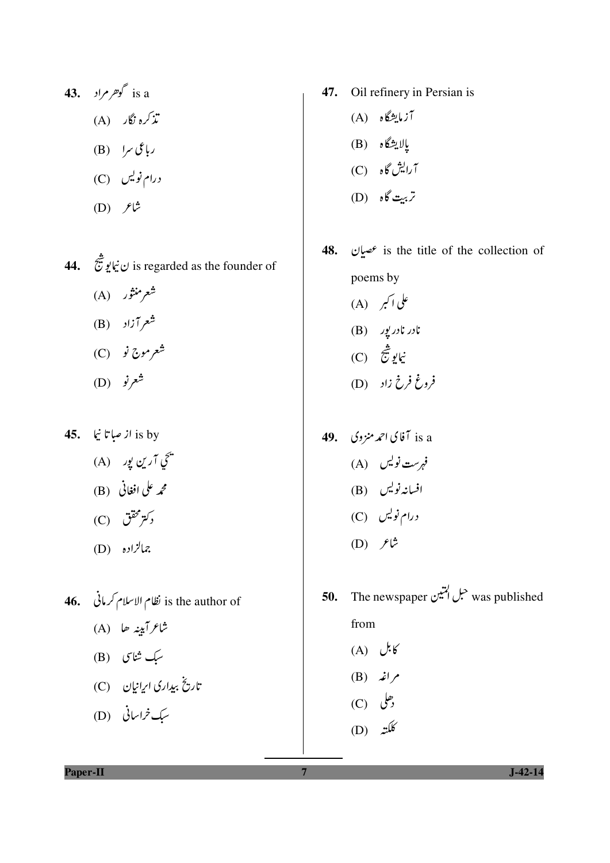- 43. گوهرمراد 43. تذکرہ نگار (A) رباعی سرا (B) درام نویس (C)  $(D)$   $\mathcal{F}^{\updownarrow}$
- 44. فَانِ نِيابِوشَنِينَ is regarded as the founder of شعرمنثور (A) شعرآزاد (B) شعرموج نو (C)
	- (D) شعرنو
- 45. از صباتا نیا is by
	- يم آرين يور)<br>سمجي آرين يور) محمه على افغاني (B)
	-
	- رکتر محقق (C)
	- جمالزاده (D)
- is the author of نظام الاسلام کرمانی . 46. شاعرآبينه حا (A)
	- سبک شاسی (B)
	- تاریخ بیداری ایرانیان (C)
	- سک خراسانی (D)
- 47. Oil refinery in Persian is
	- آزمایشگاه (A)
	- پالايشگاه (B)
	- آرايش گاه (C)
	- تربي**ت گاه** (D)
- **48.**  $\omega$  is the title of the collection of poems by علی اکبر (A)
	- $(B)$  نادر نادریور
	- نيايو شج<br>نيايو شج فروغ فرخ زاد (D)
- is a آفای احمد منزوی . **49** فہرست نویس (A) افسانەنویس (B) درام نویس (C)  $(D)$   $\mathcal{F}^{\uparrow}$
- was published حبل المتين The newspaper 50. from  $(A)$   $U=6$  $(B)$  نم
	- $(C)$   $\bigcup_{i=1}^{\infty}$
	- (D) کلکته

Paper-II